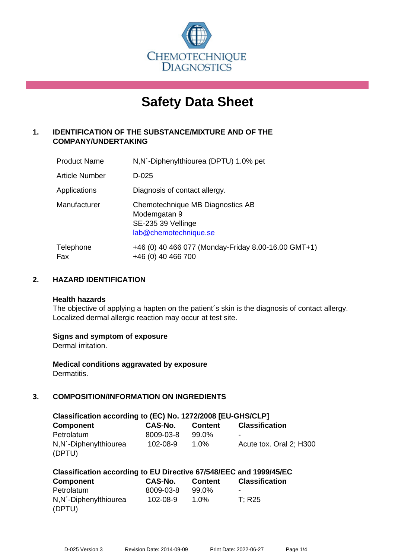

# **Safety Data Sheet**

# **1. IDENTIFICATION OF THE SUBSTANCE/MIXTURE AND OF THE COMPANY/UNDERTAKING**

| <b>Product Name</b> | N,N'-Diphenylthiourea (DPTU) 1.0% pet                                                           |
|---------------------|-------------------------------------------------------------------------------------------------|
| Article Number      | D-025                                                                                           |
| Applications        | Diagnosis of contact allergy.                                                                   |
| Manufacturer        | Chemotechnique MB Diagnostics AB<br>Modemgatan 9<br>SE-235 39 Vellinge<br>lab@chemotechnique.se |
| Telephone<br>Fax    | +46 (0) 40 466 077 (Monday-Friday 8.00-16.00 GMT+1)<br>+46 (0) 40 466 700                       |

## **2. HAZARD IDENTIFICATION**

#### **Health hazards**

The objective of applying a hapten on the patient's skin is the diagnosis of contact allergy. Localized dermal allergic reaction may occur at test site.

## **Signs and symptom of exposure**

Dermal irritation.

**Medical conditions aggravated by exposure** Dermatitis.

# **3. COMPOSITION/INFORMATION ON INGREDIENTS**

| Classification according to (EC) No. 1272/2008 [EU-GHS/CLP] |           |                |                         |  |  |  |
|-------------------------------------------------------------|-----------|----------------|-------------------------|--|--|--|
| <b>Component</b>                                            | CAS-No.   | <b>Content</b> | <b>Classification</b>   |  |  |  |
| Petrolatum                                                  | 8009-03-8 | 99.0%          | -                       |  |  |  |
| N,N'-Diphenylthiourea                                       | 102-08-9  | $1.0\%$        | Acute tox. Oral 2: H300 |  |  |  |
| (DPTU)                                                      |           |                |                         |  |  |  |

| Classification according to EU Directive 67/548/EEC and 1999/45/EC |                |                |                       |  |  |  |
|--------------------------------------------------------------------|----------------|----------------|-----------------------|--|--|--|
| Component                                                          | <b>CAS-No.</b> | <b>Content</b> | <b>Classification</b> |  |  |  |
| Petrolatum                                                         | 8009-03-8      | 99.0%          | ۰                     |  |  |  |
| N,N'-Diphenylthiourea                                              | 102-08-9       | $1.0\%$        | T: R25                |  |  |  |
| (DPTU)                                                             |                |                |                       |  |  |  |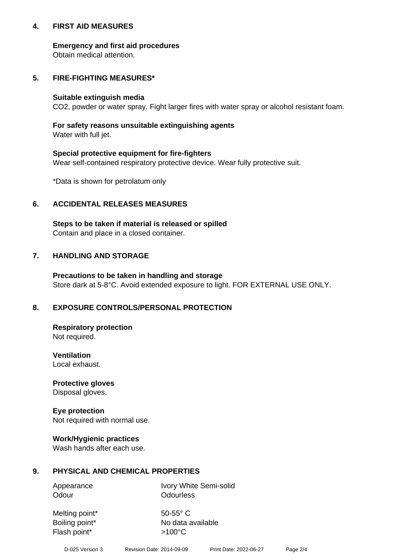## **4. FIRST AID MEASURES**

## **Emergency and first aid procedures**

Obtain medical attention.

# **5. FIRE-FIGHTING MEASURES\***

#### **Suitable extinguish media**

CO2, powder or water spray. Fight larger fires with water spray or alcohol resistant foam.

# **For safety reasons unsuitable extinguishing agents**

Water with full jet.

## **Special protective equipment for fire-fighters**

Wear self-contained respiratory protective device. Wear fully protective suit.

\*Data is shown for petrolatum only

## **6. ACCIDENTAL RELEASES MEASURES**

**Steps to be taken if material is released or spilled** Contain and place in a closed container.

# **7. HANDLING AND STORAGE**

**Precautions to be taken in handling and storage** Store dark at 5-8°C. Avoid extended exposure to light. FOR EXTERNAL USE ONLY.

# **8. EXPOSURE CONTROLS/PERSONAL PROTECTION**

**Respiratory protection** Not required.

**Ventilation** Local exhaust.

**Protective gloves** Disposal gloves.

#### **Eye protection** Not required with normal use.

## **Work/Hygienic practices**

Wash hands after each use.

## **9. PHYSICAL AND CHEMICAL PROPERTIES**

Odour **Odourless** 

Appearance Ivory White Semi-solid

Melting point\* 50-55° C Flash point\*  $>100^{\circ}$ C

Boiling point\* No data available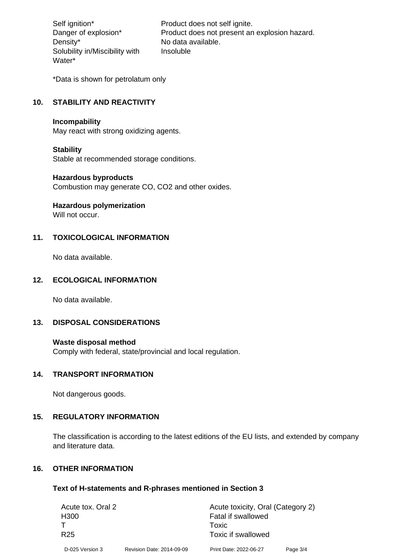Density\* No data available. Solubility in/Miscibility with Water\*

Self ignition\* Product does not self ignite. Danger of explosion\* Product does not present an explosion hazard. Insoluble

\*Data is shown for petrolatum only

# **10. STABILITY AND REACTIVITY**

#### **Incompability**

May react with strong oxidizing agents.

#### **Stability**

Stable at recommended storage conditions.

#### **Hazardous byproducts**

Combustion may generate CO, CO2 and other oxides.

**Hazardous polymerization**

Will not occur.

## **11. TOXICOLOGICAL INFORMATION**

No data available.

## **12. ECOLOGICAL INFORMATION**

No data available.

## **13. DISPOSAL CONSIDERATIONS**

#### **Waste disposal method**

Comply with federal, state/provincial and local regulation.

#### **14. TRANSPORT INFORMATION**

Not dangerous goods.

# **15. REGULATORY INFORMATION**

The classification is according to the latest editions of the EU lists, and extended by company and literature data.

#### **16. OTHER INFORMATION**

#### **Text of H-statements and R-phrases mentioned in Section 3**

| Acute tox. Oral 2 |                           | Acute toxicity, Oral (Category 2) |          |  |
|-------------------|---------------------------|-----------------------------------|----------|--|
| H <sub>300</sub>  |                           | <b>Fatal if swallowed</b>         |          |  |
|                   |                           | Toxic                             |          |  |
| R <sub>25</sub>   |                           | Toxic if swallowed                |          |  |
| D-025 Version 3   | Revision Date: 2014-09-09 | Print Date: 2022-06-27            | Page 3/4 |  |